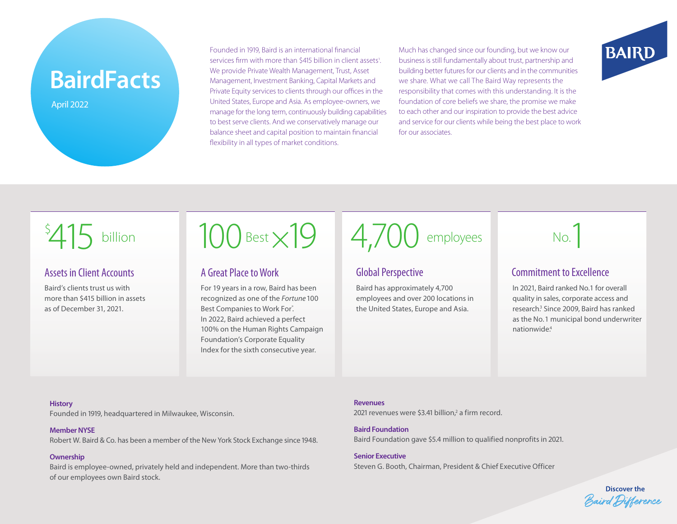# **BairdFacts**

April 2022

Founded in 1919, Baird is an international financial services firm with more than \$415 billion in client assets<sup>1</sup>. We provide Private Wealth Management, Trust, Asset Management, Investment Banking, Capital Markets and Private Equity services to clients through our offices in the United States, Europe and Asia. As employee-owners, we manage for the long term, continuously building capabilities to best serve clients. And we conservatively manage our balance sheet and capital position to maintain financial flexibility in all types of market conditions.

Much has changed since our founding, but we know our business is still fundamentally about trust, partnership and building better futures for our clients and in the communities we share. What we call The Baird Way represents the responsibility that comes with this understanding. It is the foundation of core beliefs we share, the promise we make to each other and our inspiration to provide the best advice and service for our clients while being the best place to work for our associates.



## Assets in Client Accounts

Baird's clients trust us with more than \$415 billion in assets as of December 31, 2021.



# A Great Place to Work

For 19 years in a row, Baird has been recognized as one of the *Fortune* 100 Best Companies to Work For°. In 2022, Baird achieved a perfect 100% on the Human Rights Campaign Foundation's Corporate Equality Index for the sixth consecutive year.

 $15$  billion 100 Best  $\times$ 19 4,700 employees No.

# Global Perspective

Baird has approximately 4,700 employees and over 200 locations in the United States, Europe and Asia.



# Commitment to Excellence

In 2021, Baird ranked No.1 for overall quality in sales, corporate access and research.<sup>3</sup> Since 2009, Baird has ranked as the No. 1 municipal bond underwriter nationwide<sup>4</sup>

#### **History**

Founded in 1919, headquartered in Milwaukee, Wisconsin.

#### **Member NYSE**

Robert W. Baird & Co. has been a member of the New York Stock Exchange since 1948.

#### **Ownership**

Baird is employee-owned, privately held and independent. More than two-thirds of our employees own Baird stock.

#### **Revenues**

2021 revenues were \$3.41 billion,<sup>2</sup> a firm record.

**Baird Foundation** Baird Foundation gave \$5.4 million to qualified nonprofits in 2021.

**Senior Executive** Steven G. Booth, Chairman, President & Chief Executive Officer